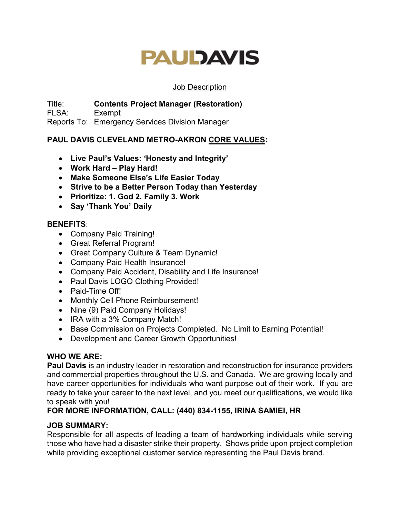#### Job Description

Title: **Contents Project Manager (Restoration)**

FLSA: Exempt

Reports To: Emergency Services Division Manager

## **PAUL DAVIS CLEVELAND METRO-AKRON CORE VALUES:**

- **Live Paul's Values: 'Honesty and Integrity'**
- **Work Hard – Play Hard!**
- **Make Someone Else's Life Easier Today**
- **Strive to be a Better Person Today than Yesterday**
- **Prioritize: 1. God 2. Family 3. Work**
- **Say 'Thank You' Daily**

### **BENEFITS**:

- Company Paid Training!
- Great Referral Program!
- Great Company Culture & Team Dynamic!
- Company Paid Health Insurance!
- Company Paid Accident, Disability and Life Insurance!
- Paul Davis LOGO Clothing Provided!
- Paid-Time Off!
- Monthly Cell Phone Reimbursement!
- Nine (9) Paid Company Holidays!
- IRA with a 3% Company Match!
- Base Commission on Projects Completed. No Limit to Earning Potential!
- Development and Career Growth Opportunities!

### **WHO WE ARE:**

**Paul Davis** is an industry leader in restoration and reconstruction for insurance providers and commercial properties throughout the U.S. and Canada. We are growing locally and have career opportunities for individuals who want purpose out of their work. If you are ready to take your career to the next level, and you meet our qualifications, we would like to speak with you!

### **FOR MORE INFORMATION, CALL: (440) 834-1155, IRINA SAMIEI, HR**

## **JOB SUMMARY:**

Responsible for all aspects of leading a team of hardworking individuals while serving those who have had a disaster strike their property. Shows pride upon project completion while providing exceptional customer service representing the Paul Davis brand.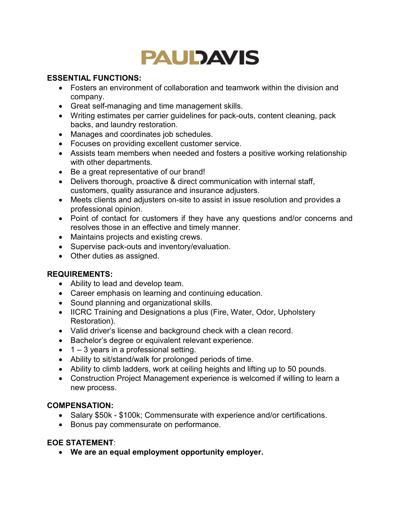### **ESSENTIAL FUNCTIONS:**

- Fosters an environment of collaboration and teamwork within the division and company.
- Great self-managing and time management skills.
- Writing estimates per carrier guidelines for pack-outs, content cleaning, pack backs, and laundry restoration.
- Manages and coordinates job schedules.
- Focuses on providing excellent customer service.
- Assists team members when needed and fosters a positive working relationship with other departments.
- Be a great representative of our brand!
- Delivers thorough, proactive & direct communication with internal staff, customers, quality assurance and insurance adjusters.
- Meets clients and adjusters on-site to assist in issue resolution and provides a professional opinion.
- Point of contact for customers if they have any questions and/or concerns and resolves those in an effective and timely manner.
- Maintains projects and existing crews.
- Supervise pack-outs and inventory/evaluation.
- Other duties as assigned.

## **REQUIREMENTS:**

- Ability to lead and develop team.
- Career emphasis on learning and continuing education.
- Sound planning and organizational skills.
- IICRC Training and Designations a plus (Fire, Water, Odor, Upholstery Restoration).
- Valid driver's license and background check with a clean record.
- Bachelor's degree or equivalent relevant experience.
- $\bullet$  1 3 years in a professional setting.
- Ability to sit/stand/walk for prolonged periods of time.
- Ability to climb ladders, work at ceiling heights and lifting up to 50 pounds.
- Construction Project Management experience is welcomed if willing to learn a new process.

### **COMPENSATION:**

- Salary \$50k \$100k; Commensurate with experience and/or certifications.
- Bonus pay commensurate on performance.

### **EOE STATEMENT**: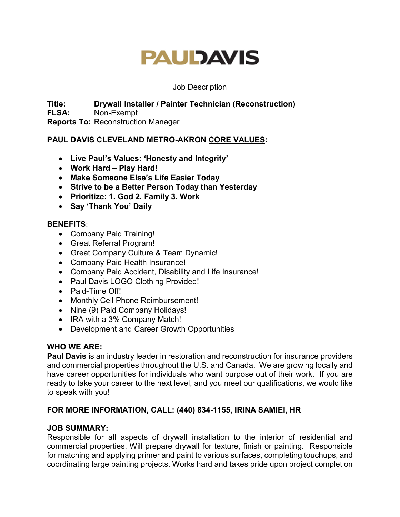#### Job Description

**Title: Drywall Installer / Painter Technician (Reconstruction) FLSA:** Non-Exempt

**Reports To:** Reconstruction Manager

### **PAUL DAVIS CLEVELAND METRO-AKRON CORE VALUES:**

- **Live Paul's Values: 'Honesty and Integrity'**
- **Work Hard Play Hard!**
- **Make Someone Else's Life Easier Today**
- **Strive to be a Better Person Today than Yesterday**
- **Prioritize: 1. God 2. Family 3. Work**
- **Say 'Thank You' Daily**

#### **BENEFITS**:

- Company Paid Training!
- Great Referral Program!
- Great Company Culture & Team Dynamic!
- Company Paid Health Insurance!
- Company Paid Accident, Disability and Life Insurance!
- Paul Davis LOGO Clothing Provided!
- Paid-Time Off!
- Monthly Cell Phone Reimbursement!
- Nine (9) Paid Company Holidays!
- IRA with a 3% Company Match!
- Development and Career Growth Opportunities

### **WHO WE ARE:**

**Paul Davis** is an industry leader in restoration and reconstruction for insurance providers and commercial properties throughout the U.S. and Canada. We are growing locally and have career opportunities for individuals who want purpose out of their work. If you are ready to take your career to the next level, and you meet our qualifications, we would like to speak with you!

### **FOR MORE INFORMATION, CALL: (440) 834-1155, IRINA SAMIEI, HR**

### **JOB SUMMARY:**

Responsible for all aspects of drywall installation to the interior of residential and commercial properties. Will prepare drywall for texture, finish or painting. Responsible for matching and applying primer and paint to various surfaces, completing touchups, and coordinating large painting projects. Works hard and takes pride upon project completion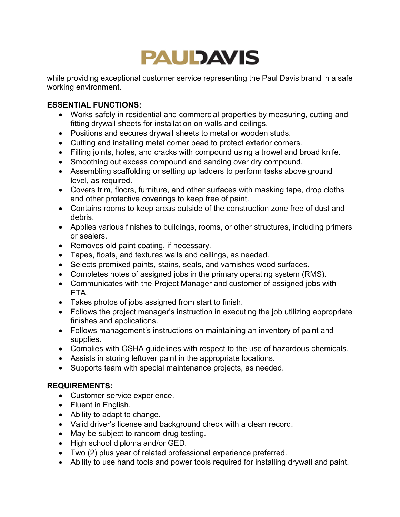while providing exceptional customer service representing the Paul Davis brand in a safe working environment.

### **ESSENTIAL FUNCTIONS:**

- Works safely in residential and commercial properties by measuring, cutting and fitting drywall sheets for installation on walls and ceilings.
- Positions and secures drywall sheets to metal or wooden studs.
- Cutting and installing metal corner bead to protect exterior corners.
- Filling joints, holes, and cracks with compound using a trowel and broad knife.
- Smoothing out excess compound and sanding over dry compound.
- Assembling scaffolding or setting up ladders to perform tasks above ground level, as required.
- Covers trim, floors, furniture, and other surfaces with masking tape, drop cloths and other protective coverings to keep free of paint.
- Contains rooms to keep areas outside of the construction zone free of dust and debris.
- Applies various finishes to buildings, rooms, or other structures, including primers or sealers.
- Removes old paint coating, if necessary.
- Tapes, floats, and textures walls and ceilings, as needed.
- Selects premixed paints, stains, seals, and varnishes wood surfaces.
- Completes notes of assigned jobs in the primary operating system (RMS).
- Communicates with the Project Manager and customer of assigned jobs with ETA.
- Takes photos of jobs assigned from start to finish.
- Follows the project manager's instruction in executing the job utilizing appropriate finishes and applications.
- Follows management's instructions on maintaining an inventory of paint and supplies.
- Complies with OSHA guidelines with respect to the use of hazardous chemicals.
- Assists in storing leftover paint in the appropriate locations.
- Supports team with special maintenance projects, as needed.

### **REQUIREMENTS:**

- Customer service experience.
- Fluent in English.
- Ability to adapt to change.
- Valid driver's license and background check with a clean record.
- May be subject to random drug testing.
- High school diploma and/or GED.
- Two (2) plus year of related professional experience preferred.
- Ability to use hand tools and power tools required for installing drywall and paint.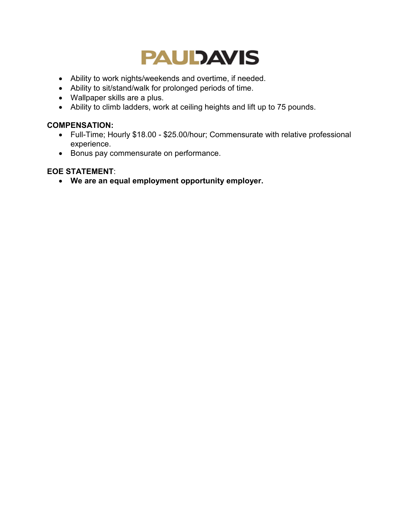

- Ability to work nights/weekends and overtime, if needed.
- Ability to sit/stand/walk for prolonged periods of time.
- Wallpaper skills are a plus.
- Ability to climb ladders, work at ceiling heights and lift up to 75 pounds.

#### **COMPENSATION:**

- Full-Time; Hourly \$18.00 \$25.00/hour; Commensurate with relative professional experience.
- Bonus pay commensurate on performance.

#### **EOE STATEMENT**: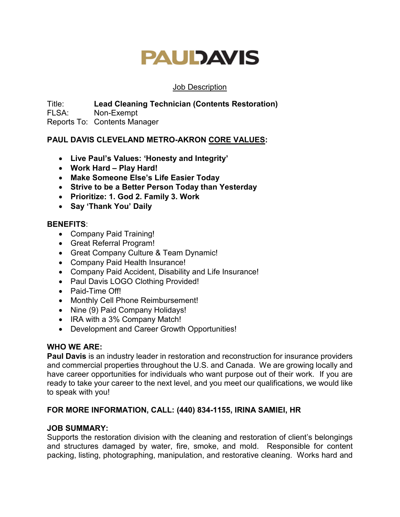#### Job Description

Title: **Lead Cleaning Technician (Contents Restoration)** FLSA: Non-Exempt Reports To: Contents Manager

### **PAUL DAVIS CLEVELAND METRO-AKRON CORE VALUES:**

- **Live Paul's Values: 'Honesty and Integrity'**
- **Work Hard Play Hard!**
- **Make Someone Else's Life Easier Today**
- **Strive to be a Better Person Today than Yesterday**
- **Prioritize: 1. God 2. Family 3. Work**
- **Say 'Thank You' Daily**

#### **BENEFITS**:

- Company Paid Training!
- Great Referral Program!
- Great Company Culture & Team Dynamic!
- Company Paid Health Insurance!
- Company Paid Accident, Disability and Life Insurance!
- Paul Davis LOGO Clothing Provided!
- Paid-Time Off!
- Monthly Cell Phone Reimbursement!
- Nine (9) Paid Company Holidays!
- IRA with a 3% Company Match!
- Development and Career Growth Opportunities!

### **WHO WE ARE:**

**Paul Davis** is an industry leader in restoration and reconstruction for insurance providers and commercial properties throughout the U.S. and Canada. We are growing locally and have career opportunities for individuals who want purpose out of their work. If you are ready to take your career to the next level, and you meet our qualifications, we would like to speak with you!

### **FOR MORE INFORMATION, CALL: (440) 834-1155, IRINA SAMIEI, HR**

### **JOB SUMMARY:**

Supports the restoration division with the cleaning and restoration of client's belongings and structures damaged by water, fire, smoke, and mold. Responsible for content packing, listing, photographing, manipulation, and restorative cleaning. Works hard and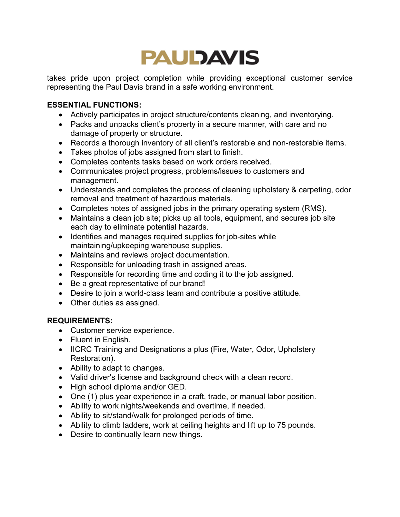

takes pride upon project completion while providing exceptional customer service representing the Paul Davis brand in a safe working environment.

### **ESSENTIAL FUNCTIONS:**

- Actively participates in project structure/contents cleaning, and inventorying.
- Packs and unpacks client's property in a secure manner, with care and no damage of property or structure.
- Records a thorough inventory of all client's restorable and non-restorable items.
- Takes photos of jobs assigned from start to finish.
- Completes contents tasks based on work orders received.
- Communicates project progress, problems/issues to customers and management.
- Understands and completes the process of cleaning upholstery & carpeting, odor removal and treatment of hazardous materials.
- Completes notes of assigned jobs in the primary operating system (RMS).
- Maintains a clean job site; picks up all tools, equipment, and secures job site each day to eliminate potential hazards.
- Identifies and manages required supplies for job-sites while maintaining/upkeeping warehouse supplies.
- Maintains and reviews project documentation.
- Responsible for unloading trash in assigned areas.
- Responsible for recording time and coding it to the job assigned.
- Be a great representative of our brand!
- Desire to join a world-class team and contribute a positive attitude.
- Other duties as assigned.

### **REQUIREMENTS:**

- Customer service experience.
- Fluent in English.
- IICRC Training and Designations a plus (Fire, Water, Odor, Upholstery Restoration).
- Ability to adapt to changes.
- Valid driver's license and background check with a clean record.
- High school diploma and/or GED.
- One (1) plus year experience in a craft, trade, or manual labor position.
- Ability to work nights/weekends and overtime, if needed.
- Ability to sit/stand/walk for prolonged periods of time.
- Ability to climb ladders, work at ceiling heights and lift up to 75 pounds.
- Desire to continually learn new things.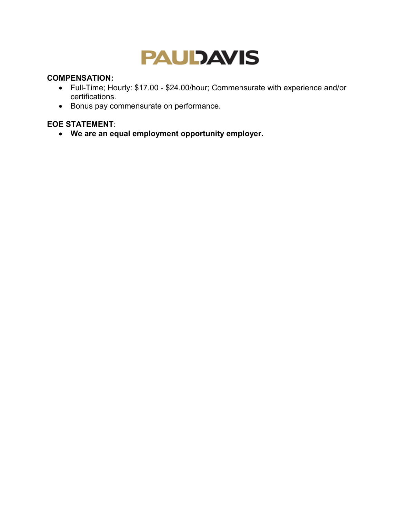### **COMPENSATION:**

- Full-Time; Hourly: \$17.00 \$24.00/hour; Commensurate with experience and/or certifications.
- Bonus pay commensurate on performance.

## **EOE STATEMENT**: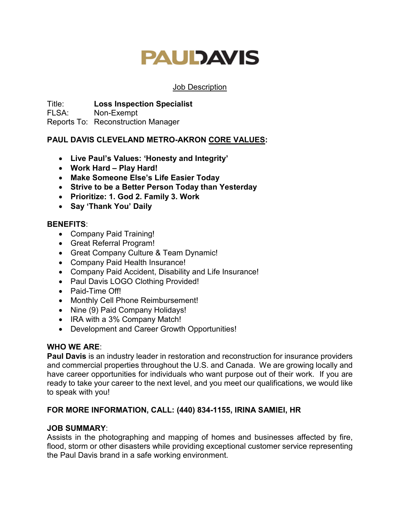#### Job Description

Title: **Loss Inspection Specialist**

FLSA: Non-Exempt

Reports To: Reconstruction Manager

## **PAUL DAVIS CLEVELAND METRO-AKRON CORE VALUES:**

- **Live Paul's Values: 'Honesty and Integrity'**
- **Work Hard Play Hard!**
- **Make Someone Else's Life Easier Today**
- **Strive to be a Better Person Today than Yesterday**
- **Prioritize: 1. God 2. Family 3. Work**
- **Say 'Thank You' Daily**

### **BENEFITS**:

- Company Paid Training!
- Great Referral Program!
- Great Company Culture & Team Dynamic!
- Company Paid Health Insurance!
- Company Paid Accident, Disability and Life Insurance!
- Paul Davis LOGO Clothing Provided!
- Paid-Time Off!
- Monthly Cell Phone Reimbursement!
- Nine (9) Paid Company Holidays!
- IRA with a 3% Company Match!
- Development and Career Growth Opportunities!

### **WHO WE ARE**:

**Paul Davis** is an industry leader in restoration and reconstruction for insurance providers and commercial properties throughout the U.S. and Canada. We are growing locally and have career opportunities for individuals who want purpose out of their work. If you are ready to take your career to the next level, and you meet our qualifications, we would like to speak with you!

### **FOR MORE INFORMATION, CALL: (440) 834-1155, IRINA SAMIEI, HR**

### **JOB SUMMARY**:

Assists in the photographing and mapping of homes and businesses affected by fire, flood, storm or other disasters while providing exceptional customer service representing the Paul Davis brand in a safe working environment.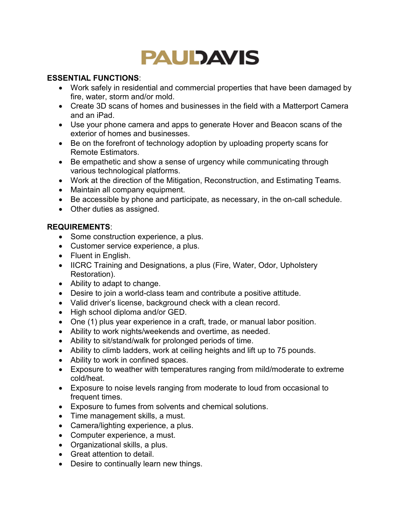### **ESSENTIAL FUNCTIONS**:

- Work safely in residential and commercial properties that have been damaged by fire, water, storm and/or mold.
- Create 3D scans of homes and businesses in the field with a Matterport Camera and an iPad.
- Use your phone camera and apps to generate Hover and Beacon scans of the exterior of homes and businesses.
- Be on the forefront of technology adoption by uploading property scans for Remote Estimators.
- Be empathetic and show a sense of urgency while communicating through various technological platforms.
- Work at the direction of the Mitigation, Reconstruction, and Estimating Teams.
- Maintain all company equipment.
- Be accessible by phone and participate, as necessary, in the on-call schedule.
- Other duties as assigned.

### **REQUIREMENTS**:

- Some construction experience, a plus.
- Customer service experience, a plus.
- Fluent in English.
- IICRC Training and Designations, a plus (Fire, Water, Odor, Upholstery Restoration).
- Ability to adapt to change.
- Desire to join a world-class team and contribute a positive attitude.
- Valid driver's license, background check with a clean record.
- High school diploma and/or GED.
- One (1) plus year experience in a craft, trade, or manual labor position.
- Ability to work nights/weekends and overtime, as needed.
- Ability to sit/stand/walk for prolonged periods of time.
- Ability to climb ladders, work at ceiling heights and lift up to 75 pounds.
- Ability to work in confined spaces.
- Exposure to weather with temperatures ranging from mild/moderate to extreme cold/heat.
- Exposure to noise levels ranging from moderate to loud from occasional to frequent times.
- Exposure to fumes from solvents and chemical solutions.
- Time management skills, a must.
- Camera/lighting experience, a plus.
- Computer experience, a must.
- Organizational skills, a plus.
- Great attention to detail.
- Desire to continually learn new things.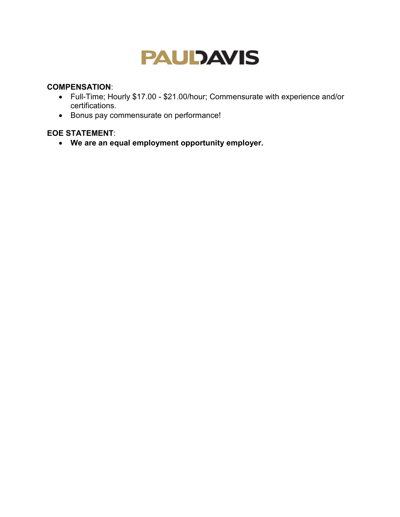#### **COMPENSATION**:

- Full-Time; Hourly \$17.00 \$21.00/hour; Commensurate with experience and/or certifications.
- Bonus pay commensurate on performance!

### **EOE STATEMENT**: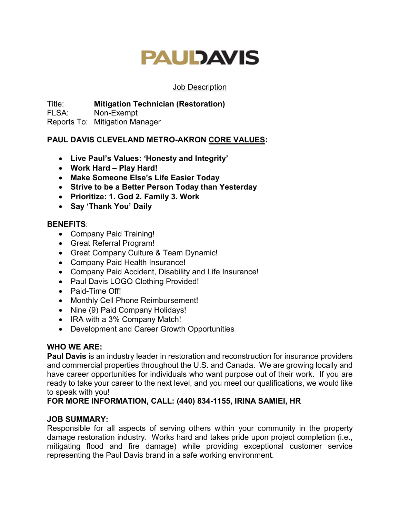#### Job Description

Title: **Mitigation Technician (Restoration)** FLSA: Non-Exempt

Reports To: Mitigation Manager

## **PAUL DAVIS CLEVELAND METRO-AKRON CORE VALUES:**

- **Live Paul's Values: 'Honesty and Integrity'**
- **Work Hard Play Hard!**
- **Make Someone Else's Life Easier Today**
- **Strive to be a Better Person Today than Yesterday**
- **Prioritize: 1. God 2. Family 3. Work**
- **Say 'Thank You' Daily**

### **BENEFITS**:

- Company Paid Training!
- Great Referral Program!
- Great Company Culture & Team Dynamic!
- Company Paid Health Insurance!
- Company Paid Accident, Disability and Life Insurance!
- Paul Davis LOGO Clothing Provided!
- Paid-Time Off!
- Monthly Cell Phone Reimbursement!
- Nine (9) Paid Company Holidays!
- IRA with a 3% Company Match!
- Development and Career Growth Opportunities

### **WHO WE ARE:**

**Paul Davis** is an industry leader in restoration and reconstruction for insurance providers and commercial properties throughout the U.S. and Canada. We are growing locally and have career opportunities for individuals who want purpose out of their work. If you are ready to take your career to the next level, and you meet our qualifications, we would like to speak with you!

### **FOR MORE INFORMATION, CALL: (440) 834-1155, IRINA SAMIEI, HR**

### **JOB SUMMARY:**

Responsible for all aspects of serving others within your community in the property damage restoration industry. Works hard and takes pride upon project completion (i.e., mitigating flood and fire damage) while providing exceptional customer service representing the Paul Davis brand in a safe working environment.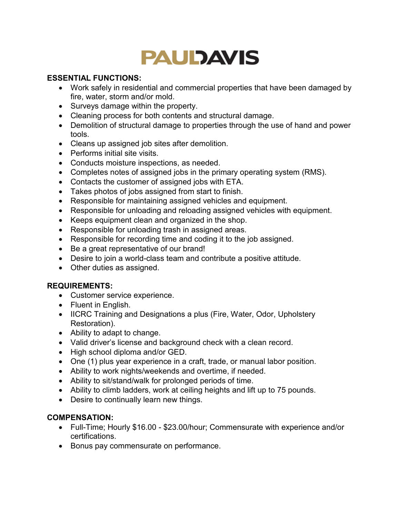### **ESSENTIAL FUNCTIONS:**

- Work safely in residential and commercial properties that have been damaged by fire, water, storm and/or mold.
- Surveys damage within the property.
- Cleaning process for both contents and structural damage.
- Demolition of structural damage to properties through the use of hand and power tools.
- Cleans up assigned job sites after demolition.
- Performs initial site visits.
- Conducts moisture inspections, as needed.
- Completes notes of assigned jobs in the primary operating system (RMS).
- Contacts the customer of assigned jobs with ETA.
- Takes photos of jobs assigned from start to finish.
- Responsible for maintaining assigned vehicles and equipment.
- Responsible for unloading and reloading assigned vehicles with equipment.
- Keeps equipment clean and organized in the shop.
- Responsible for unloading trash in assigned areas.
- Responsible for recording time and coding it to the job assigned.
- Be a great representative of our brand!
- Desire to join a world-class team and contribute a positive attitude.
- Other duties as assigned.

### **REQUIREMENTS:**

- Customer service experience.
- Fluent in English.
- IICRC Training and Designations a plus (Fire, Water, Odor, Upholstery Restoration).
- Ability to adapt to change.
- Valid driver's license and background check with a clean record.
- High school diploma and/or GED.
- One (1) plus year experience in a craft, trade, or manual labor position.
- Ability to work nights/weekends and overtime, if needed.
- Ability to sit/stand/walk for prolonged periods of time.
- Ability to climb ladders, work at ceiling heights and lift up to 75 pounds.
- Desire to continually learn new things.

### **COMPENSATION:**

- Full-Time; Hourly \$16.00 \$23.00/hour; Commensurate with experience and/or certifications.
- Bonus pay commensurate on performance.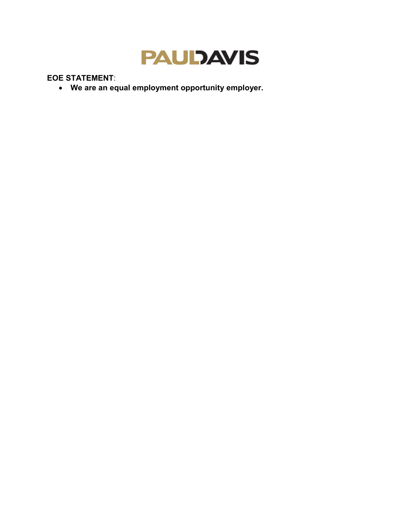

**EOE STATEMENT**: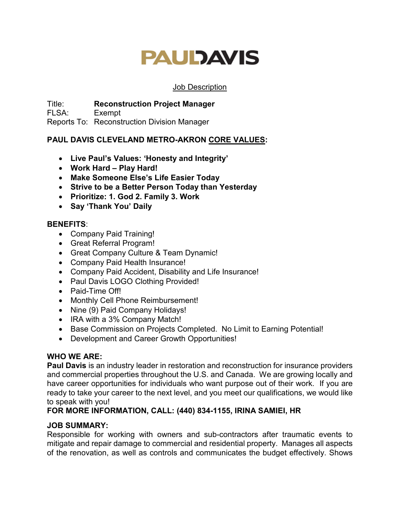#### Job Description

Title: **Reconstruction Project Manager**

FLSA: Exempt

Reports To: Reconstruction Division Manager

## **PAUL DAVIS CLEVELAND METRO-AKRON CORE VALUES:**

- **Live Paul's Values: 'Honesty and Integrity'**
- **Work Hard – Play Hard!**
- **Make Someone Else's Life Easier Today**
- **Strive to be a Better Person Today than Yesterday**
- **Prioritize: 1. God 2. Family 3. Work**
- **Say 'Thank You' Daily**

### **BENEFITS**:

- Company Paid Training!
- Great Referral Program!
- Great Company Culture & Team Dynamic!
- Company Paid Health Insurance!
- Company Paid Accident, Disability and Life Insurance!
- Paul Davis LOGO Clothing Provided!
- Paid-Time Off!
- Monthly Cell Phone Reimbursement!
- Nine (9) Paid Company Holidays!
- IRA with a 3% Company Match!
- Base Commission on Projects Completed. No Limit to Earning Potential!
- Development and Career Growth Opportunities!

### **WHO WE ARE:**

**Paul Davis** is an industry leader in restoration and reconstruction for insurance providers and commercial properties throughout the U.S. and Canada. We are growing locally and have career opportunities for individuals who want purpose out of their work. If you are ready to take your career to the next level, and you meet our qualifications, we would like to speak with you!

### **FOR MORE INFORMATION, CALL: (440) 834-1155, IRINA SAMIEI, HR**

### **JOB SUMMARY:**

Responsible for working with owners and sub-contractors after traumatic events to mitigate and repair damage to commercial and residential property. Manages all aspects of the renovation, as well as controls and communicates the budget effectively. Shows